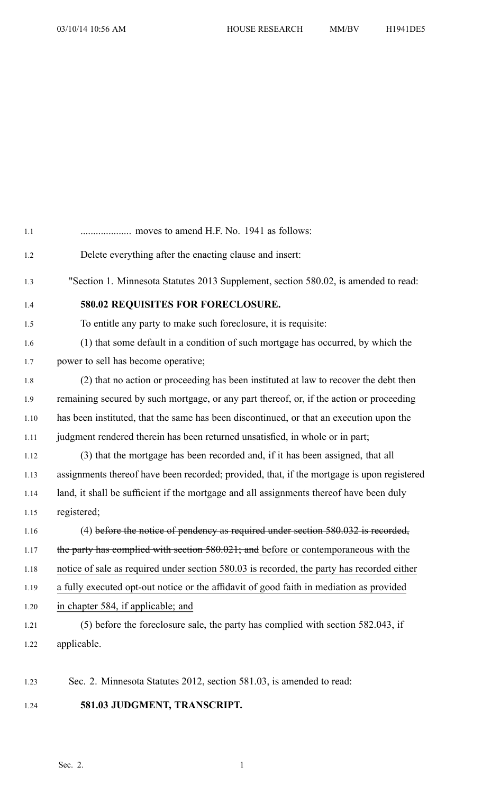| Delete everything after the enacting clause and insert:                                    |
|--------------------------------------------------------------------------------------------|
| "Section 1. Minnesota Statutes 2013 Supplement, section 580.02, is amended to read:        |
| 580.02 REQUISITES FOR FORECLOSURE.                                                         |
| To entitle any party to make such foreclosure, it is requisite:                            |
| (1) that some default in a condition of such mortgage has occurred, by which the           |
| power to sell has become operative;                                                        |
| (2) that no action or proceeding has been instituted at law to recover the debt then       |
| remaining secured by such mortgage, or any part thereof, or, if the action or proceeding   |
| has been instituted, that the same has been discontinued, or that an execution upon the    |
| judgment rendered therein has been returned unsatisfied, in whole or in part;              |
| (3) that the mortgage has been recorded and, if it has been assigned, that all             |
| assignments thereof have been recorded; provided, that, if the mortgage is upon registered |
| land, it shall be sufficient if the mortgage and all assignments thereof have been duly    |
| registered;                                                                                |
| $(4)$ before the notice of pendency as required under section 580.032 is recorded,         |
| the party has complied with section 580.021; and before or contemporaneous with the        |
| notice of sale as required under section 580.03 is recorded, the party has recorded either |
| a fully executed opt-out notice or the affidavit of good faith in mediation as provided    |
| in chapter 584, if applicable; and                                                         |
| (5) before the foreclosure sale, the party has complied with section 582.043, if           |
| applicable.                                                                                |

- 1.23 Sec. 2. Minnesota Statutes 2012, section 581.03, is amended to read:
- 1.24 **581.03 JUDGMENT, TRANSCRIPT.**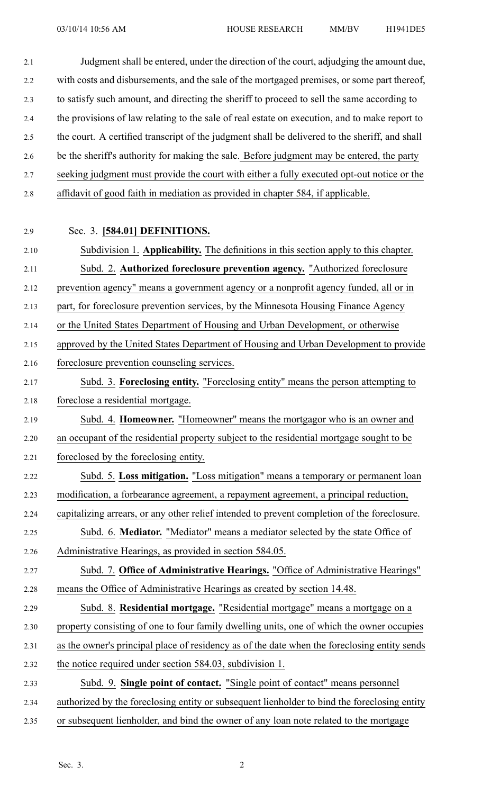2.1 Judgment shall be entered, under the direction of the court, adjudging the amount due, 2.2 with costs and disbursements, and the sale of the mortgaged premises, or some par<sup>t</sup> thereof, 2.3 to satisfy such amount, and directing the sheriff to proceed to sell the same according to 2.4 the provisions of law relating to the sale of real estate on execution, and to make repor<sup>t</sup> to 2.5 the court. A certified transcript of the judgment shall be delivered to the sheriff, and shall 2.6 be the sheriff's authority for making the sale. Before judgment may be entered, the party 2.7 seeking judgment must provide the court with either <sup>a</sup> fully executed opt-out notice or the 2.8 affidavit of good faith in mediation as provided in chapter 584, if applicable.

### 2.9 Sec. 3. **[584.01] DEFINITIONS.**

2.10 Subdivision 1. **Applicability.** The definitions in this section apply to this chapter. 2.11 Subd. 2. **Authorized foreclosure prevention agency.** "Authorized foreclosure 2.12 prevention agency" means <sup>a</sup> governmen<sup>t</sup> agency or <sup>a</sup> nonprofit agency funded, all or in 2.13 part, for foreclosure prevention services, by the Minnesota Housing Finance Agency 2.14 or the United States Department of Housing and Urban Development, or otherwise 2.15 approved by the United States Department of Housing and Urban Development to provide 2.16 foreclosure prevention counseling services. 2.17 Subd. 3. **Foreclosing entity.** "Foreclosing entity" means the person attempting to 2.18 foreclose <sup>a</sup> residential mortgage. 2.19 Subd. 4. **Homeowner.** "Homeowner" means the mortgagor who is an owner and 2.20 an occupan<sup>t</sup> of the residential property subject to the residential mortgage sought to be 2.21 foreclosed by the foreclosing entity. 2.22 Subd. 5. **Loss mitigation.** "Loss mitigation" means <sup>a</sup> temporary or permanen<sup>t</sup> loan 2.23 modification, <sup>a</sup> forbearance agreement, <sup>a</sup> repaymen<sup>t</sup> agreement, <sup>a</sup> principal reduction, 2.24 capitalizing arrears, or any other relief intended to preven<sup>t</sup> completion of the foreclosure. 2.25 Subd. 6. **Mediator.** "Mediator" means <sup>a</sup> mediator selected by the state Office of 2.26 Administrative Hearings, as provided in section 584.05. 2.27 Subd. 7. **Office of Administrative Hearings.** "Office of Administrative Hearings" 2.28 means the Office of Administrative Hearings as created by section 14.48. 2.29 Subd. 8. **Residential mortgage.** "Residential mortgage" means <sup>a</sup> mortgage on <sup>a</sup> 2.30 property consisting of one to four family dwelling units, one of which the owner occupies 2.31 as the owner's principal place of residency as of the date when the foreclosing entity sends 2.32 the notice required under section 584.03, subdivision 1. 2.33 Subd. 9. **Single point of contact.** "Single point of contact" means personnel 2.34 authorized by the foreclosing entity or subsequent lienholder to bind the foreclosing entity

2.35 or subsequent lienholder, and bind the owner of any loan note related to the mortgage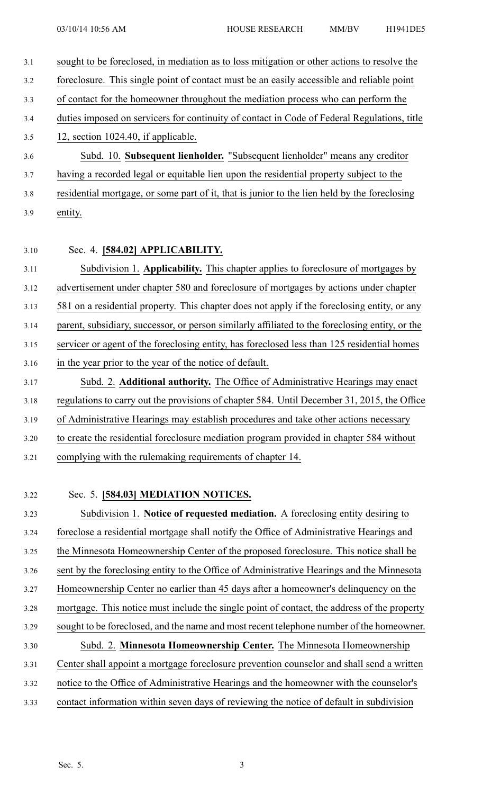3.1 sought to be foreclosed, in mediation as to loss mitigation or other actions to resolve the 3.2 foreclosure. This single point of contact must be an easily accessible and reliable point 3.3 of contact for the homeowner throughout the mediation process who can perform the 3.4 duties imposed on servicers for continuity of contact in Code of Federal Regulations, title 3.5 12, section 1024.40, if applicable. 3.6 Subd. 10. **Subsequent lienholder.** "Subsequent lienholder" means any creditor 3.7 having <sup>a</sup> recorded legal or equitable lien upon the residential property subject to the 3.8 residential mortgage, or some par<sup>t</sup> of it, that is junior to the lien held by the foreclosing 3.9 entity. 3.10 Sec. 4. **[584.02] APPLICABILITY.** 3.11 Subdivision 1. **Applicability.** This chapter applies to foreclosure of mortgages by 3.12 advertisement under chapter 580 and foreclosure of mortgages by actions under chapter 3.13 581 on <sup>a</sup> residential property. This chapter does not apply if the foreclosing entity, or any 3.14 parent, subsidiary, successor, or person similarly affiliated to the foreclosing entity, or the 3.15 servicer or agen<sup>t</sup> of the foreclosing entity, has foreclosed less than 125 residential homes 3.16 in the year prior to the year of the notice of default. 3.17 Subd. 2. **Additional authority.** The Office of Administrative Hearings may enact 3.18 regulations to carry out the provisions of chapter 584. Until December 31, 2015, the Office 3.19 of Administrative Hearings may establish procedures and take other actions necessary 3.20 to create the residential foreclosure mediation program provided in chapter 584 without 3.21 complying with the rulemaking requirements of chapter 14.

#### 3.22 Sec. 5. **[584.03] MEDIATION NOTICES.**

3.23 Subdivision 1. **Notice of requested mediation.** A foreclosing entity desiring to 3.24 foreclose <sup>a</sup> residential mortgage shall notify the Office of Administrative Hearings and 3.25 the Minnesota Homeownership Center of the proposed foreclosure. This notice shall be 3.26 sent by the foreclosing entity to the Office of Administrative Hearings and the Minnesota 3.27 Homeownership Center no earlier than 45 days after <sup>a</sup> homeowner's delinquency on the 3.28 mortgage. This notice must include the single point of contact, the address of the property 3.29 sought to be foreclosed, and the name and most recent telephone number of the homeowner. 3.30 Subd. 2. **Minnesota Homeownership Center.** The Minnesota Homeownership 3.31 Center shall appoint <sup>a</sup> mortgage foreclosure prevention counselor and shall send <sup>a</sup> written 3.32 notice to the Office of Administrative Hearings and the homeowner with the counselor's 3.33 contact information within seven days of reviewing the notice of default in subdivision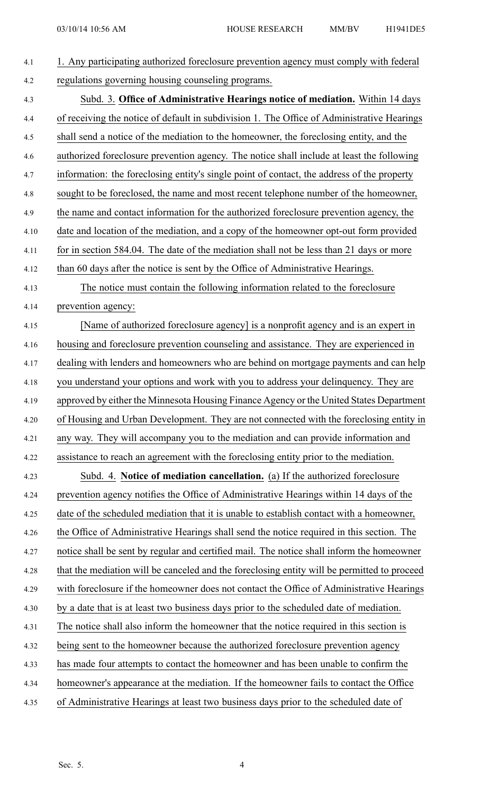| 4.1  | 1. Any participating authorized foreclosure prevention agency must comply with federal      |
|------|---------------------------------------------------------------------------------------------|
| 4.2  | regulations governing housing counseling programs.                                          |
| 4.3  | Subd. 3. Office of Administrative Hearings notice of mediation. Within 14 days              |
| 4.4  | of receiving the notice of default in subdivision 1. The Office of Administrative Hearings  |
| 4.5  | shall send a notice of the mediation to the homeowner, the foreclosing entity, and the      |
| 4.6  | authorized foreclosure prevention agency. The notice shall include at least the following   |
| 4.7  | information: the foreclosing entity's single point of contact, the address of the property  |
| 4.8  | sought to be foreclosed, the name and most recent telephone number of the homeowner,        |
| 4.9  | the name and contact information for the authorized foreclosure prevention agency, the      |
| 4.10 | date and location of the mediation, and a copy of the homeowner opt-out form provided       |
| 4.11 | for in section 584.04. The date of the mediation shall not be less than 21 days or more     |
| 4.12 | than 60 days after the notice is sent by the Office of Administrative Hearings.             |
| 4.13 | The notice must contain the following information related to the foreclosure                |
| 4.14 | prevention agency:                                                                          |
| 4.15 | [Name of authorized foreclosure agency] is a nonprofit agency and is an expert in           |
| 4.16 | housing and foreclosure prevention counseling and assistance. They are experienced in       |
| 4.17 | dealing with lenders and homeowners who are behind on mortgage payments and can help        |
| 4.18 | you understand your options and work with you to address your delinquency. They are         |
| 4.19 | approved by either the Minnesota Housing Finance Agency or the United States Department     |
| 4.20 | of Housing and Urban Development. They are not connected with the foreclosing entity in     |
| 4.21 | any way. They will accompany you to the mediation and can provide information and           |
| 4.22 | assistance to reach an agreement with the foreclosing entity prior to the mediation.        |
| 4.23 | Subd. 4. Notice of mediation cancellation. (a) If the authorized foreclosure                |
| 4.24 | prevention agency notifies the Office of Administrative Hearings within 14 days of the      |
| 4.25 | date of the scheduled mediation that it is unable to establish contact with a homeowner,    |
| 4.26 | the Office of Administrative Hearings shall send the notice required in this section. The   |
| 4.27 | notice shall be sent by regular and certified mail. The notice shall inform the homeowner   |
| 4.28 | that the mediation will be canceled and the foreclosing entity will be permitted to proceed |
| 4.29 | with foreclosure if the homeowner does not contact the Office of Administrative Hearings    |
| 4.30 | by a date that is at least two business days prior to the scheduled date of mediation.      |
| 4.31 | The notice shall also inform the homeowner that the notice required in this section is      |
| 4.32 | being sent to the homeowner because the authorized foreclosure prevention agency            |
| 4.33 | has made four attempts to contact the homeowner and has been unable to confirm the          |
| 4.34 | homeowner's appearance at the mediation. If the homeowner fails to contact the Office       |
| 4.35 | of Administrative Hearings at least two business days prior to the scheduled date of        |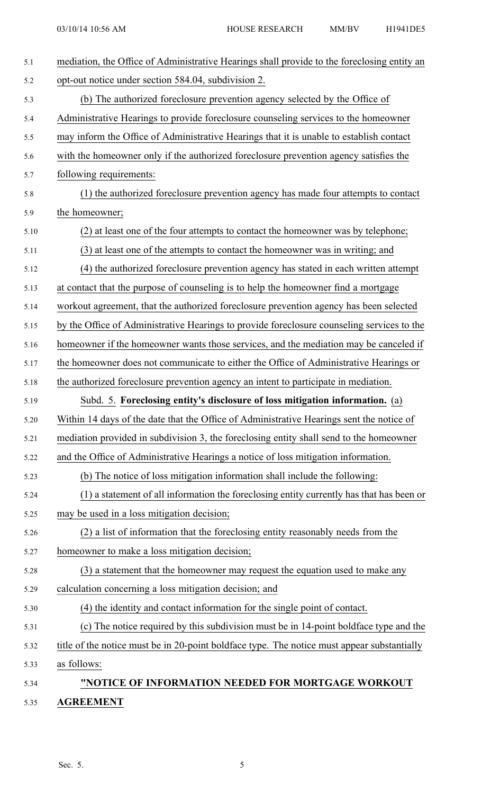| 5.1  | mediation, the Office of Administrative Hearings shall provide to the foreclosing entity an |
|------|---------------------------------------------------------------------------------------------|
| 5.2  | opt-out notice under section 584.04, subdivision 2.                                         |
| 5.3  | (b) The authorized foreclosure prevention agency selected by the Office of                  |
| 5.4  | Administrative Hearings to provide foreclosure counseling services to the homeowner         |
| 5.5  | may inform the Office of Administrative Hearings that it is unable to establish contact     |
| 5.6  | with the homeowner only if the authorized foreclosure prevention agency satisfies the       |
| 5.7  | following requirements:                                                                     |
| 5.8  | (1) the authorized foreclosure prevention agency has made four attempts to contact          |
| 5.9  | the homeowner;                                                                              |
| 5.10 | (2) at least one of the four attempts to contact the homeowner was by telephone;            |
| 5.11 | (3) at least one of the attempts to contact the homeowner was in writing; and               |
| 5.12 | (4) the authorized foreclosure prevention agency has stated in each written attempt         |
| 5.13 | at contact that the purpose of counseling is to help the homeowner find a mortgage          |
| 5.14 | workout agreement, that the authorized foreclosure prevention agency has been selected      |
| 5.15 | by the Office of Administrative Hearings to provide foreclosure counseling services to the  |
| 5.16 | homeowner if the homeowner wants those services, and the mediation may be canceled if       |
| 5.17 | the homeowner does not communicate to either the Office of Administrative Hearings or       |
| 5.18 | the authorized foreclosure prevention agency an intent to participate in mediation.         |
| 5.19 | Subd. 5. Foreclosing entity's disclosure of loss mitigation information. (a)                |
| 5.20 | Within 14 days of the date that the Office of Administrative Hearings sent the notice of    |
| 5.21 | mediation provided in subdivision 3, the foreclosing entity shall send to the homeowner     |
| 5.22 | and the Office of Administrative Hearings a notice of loss mitigation information.          |
| 5.23 | (b) The notice of loss mitigation information shall include the following:                  |
| 5.24 | (1) a statement of all information the foreclosing entity currently has that has been or    |
| 5.25 | may be used in a loss mitigation decision;                                                  |
| 5.26 | (2) a list of information that the foreclosing entity reasonably needs from the             |
| 5.27 | homeowner to make a loss mitigation decision;                                               |
| 5.28 | (3) a statement that the homeowner may request the equation used to make any                |
| 5.29 | calculation concerning a loss mitigation decision; and                                      |
| 5.30 | (4) the identity and contact information for the single point of contact.                   |
| 5.31 | (c) The notice required by this subdivision must be in 14-point boldface type and the       |
| 5.32 | title of the notice must be in 20-point boldface type. The notice must appear substantially |
| 5.33 | as follows:                                                                                 |
| 5.34 | "NOTICE OF INFORMATION NEEDED FOR MORTGAGE WORKOUT                                          |
| 5.35 | <b>AGREEMENT</b>                                                                            |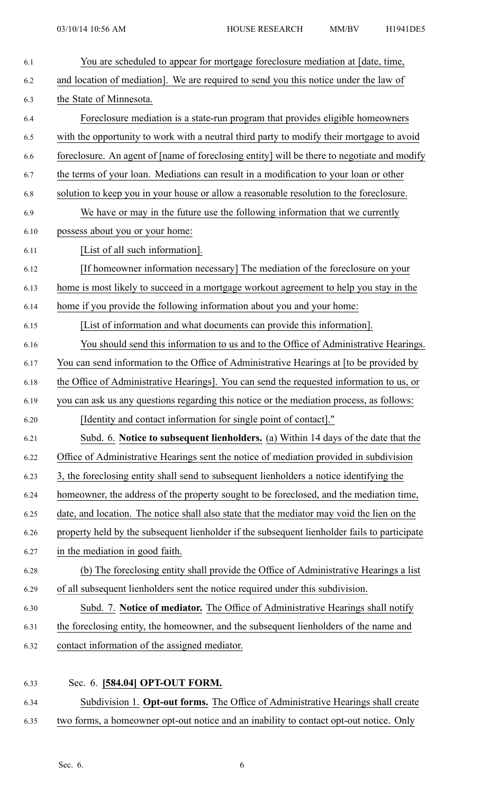| 6.1  | You are scheduled to appear for mortgage foreclosure mediation at [date, time,               |
|------|----------------------------------------------------------------------------------------------|
| 6.2  | and location of mediation]. We are required to send you this notice under the law of         |
| 6.3  | the State of Minnesota.                                                                      |
| 6.4  | Foreclosure mediation is a state-run program that provides eligible homeowners               |
| 6.5  | with the opportunity to work with a neutral third party to modify their mortgage to avoid    |
| 6.6  | foreclosure. An agent of [name of foreclosing entity] will be there to negotiate and modify  |
| 6.7  | the terms of your loan. Mediations can result in a modification to your loan or other        |
| 6.8  | solution to keep you in your house or allow a reasonable resolution to the foreclosure.      |
| 6.9  | We have or may in the future use the following information that we currently                 |
| 6.10 | possess about you or your home:                                                              |
| 6.11 | [List of all such information].                                                              |
| 6.12 | [If homeowner information necessary] The mediation of the foreclosure on your                |
| 6.13 | home is most likely to succeed in a mortgage workout agreement to help you stay in the       |
| 6.14 | home if you provide the following information about you and your home:                       |
| 6.15 | [List of information and what documents can provide this information].                       |
| 6.16 | You should send this information to us and to the Office of Administrative Hearings.         |
| 6.17 | You can send information to the Office of Administrative Hearings at [to be provided by      |
| 6.18 | the Office of Administrative Hearings]. You can send the requested information to us, or     |
| 6.19 | you can ask us any questions regarding this notice or the mediation process, as follows:     |
| 6.20 | [Identity and contact information for single point of contact]."                             |
| 6.21 | Subd. 6. Notice to subsequent lienholders. (a) Within 14 days of the date that the           |
| 6.22 | Office of Administrative Hearings sent the notice of mediation provided in subdivision       |
| 6.23 | 3, the foreclosing entity shall send to subsequent lienholders a notice identifying the      |
| 6.24 | homeowner, the address of the property sought to be foreclosed, and the mediation time,      |
| 6.25 | date, and location. The notice shall also state that the mediator may void the lien on the   |
| 6.26 | property held by the subsequent lienholder if the subsequent lienholder fails to participate |
| 6.27 | in the mediation in good faith.                                                              |
| 6.28 | (b) The foreclosing entity shall provide the Office of Administrative Hearings a list        |
| 6.29 | of all subsequent lienholders sent the notice required under this subdivision.               |
| 6.30 | Subd. 7. Notice of mediator. The Office of Administrative Hearings shall notify              |
| 6.31 | the foreclosing entity, the homeowner, and the subsequent lienholders of the name and        |
| 6.32 | contact information of the assigned mediator.                                                |
|      |                                                                                              |
| 6.33 | Sec. 6. [584.04] OPT-OUT FORM.                                                               |
| 6.34 | Subdivision 1. Opt-out forms. The Office of Administrative Hearings shall create             |

6.35 two forms, <sup>a</sup> homeowner opt-out notice and an inability to contact opt-out notice. Only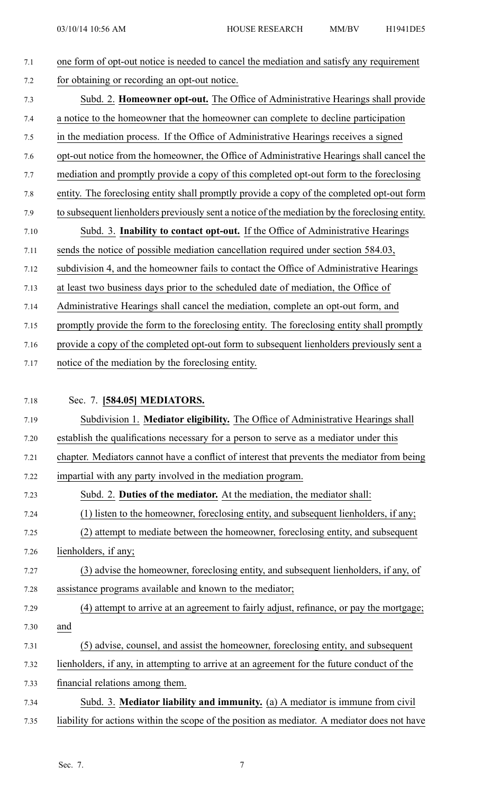# 7.1 one form of opt-out notice is needed to cancel the mediation and satisfy any requirement 7.2 for obtaining or recording an opt-out notice. 7.3 Subd. 2. **Homeowner opt-out.** The Office of Administrative Hearings shall provide 7.4 <sup>a</sup> notice to the homeowner that the homeowner can complete to decline participation 7.5 in the mediation process. If the Office of Administrative Hearings receives <sup>a</sup> signed 7.6 opt-out notice from the homeowner, the Office of Administrative Hearings shall cancel the 7.7 mediation and promptly provide <sup>a</sup> copy of this completed opt-out form to the foreclosing 7.8 entity. The foreclosing entity shall promptly provide <sup>a</sup> copy of the completed opt-out form 7.9 to subsequent lienholders previously sent <sup>a</sup> notice of the mediation by the foreclosing entity. 7.10 Subd. 3. **Inability to contact opt-out.** If the Office of Administrative Hearings 7.11 sends the notice of possible mediation cancellation required under section 584.03, 7.12 subdivision 4, and the homeowner fails to contact the Office of Administrative Hearings 7.13 at least two business days prior to the scheduled date of mediation, the Office of 7.14 Administrative Hearings shall cancel the mediation, complete an opt-out form, and 7.15 promptly provide the form to the foreclosing entity. The foreclosing entity shall promptly 7.16 provide <sup>a</sup> copy of the completed opt-out form to subsequent lienholders previously sent <sup>a</sup> 7.17 notice of the mediation by the foreclosing entity. 7.18 Sec. 7. **[584.05] MEDIATORS.** 7.19 Subdivision 1. **Mediator eligibility.** The Office of Administrative Hearings shall 7.20 establish the qualifications necessary for <sup>a</sup> person to serve as <sup>a</sup> mediator under this 7.21 chapter. Mediators cannot have <sup>a</sup> conflict of interest that prevents the mediator from being 7.22 impartial with any party involved in the mediation program. 7.23 Subd. 2. **Duties of the mediator.** At the mediation, the mediator shall: 7.24 (1) listen to the homeowner, foreclosing entity, and subsequent lienholders, if any; 7.25 (2) attempt to mediate between the homeowner, foreclosing entity, and subsequent 7.26 lienholders, if any; 7.27 (3) advise the homeowner, foreclosing entity, and subsequent lienholders, if any, of 7.28 assistance programs available and known to the mediator; 7.29 (4) attempt to arrive at an agreemen<sup>t</sup> to fairly adjust, refinance, or pay the mortgage; 7.30 and 7.31 (5) advise, counsel, and assist the homeowner, foreclosing entity, and subsequent 7.32 lienholders, if any, in attempting to arrive at an agreemen<sup>t</sup> for the future conduct of the 7.33 financial relations among them. 7.34 Subd. 3. **Mediator liability and immunity.** (a) A mediator is immune from civil

### 7.35 liability for actions within the scope of the position as mediator. A mediator does not have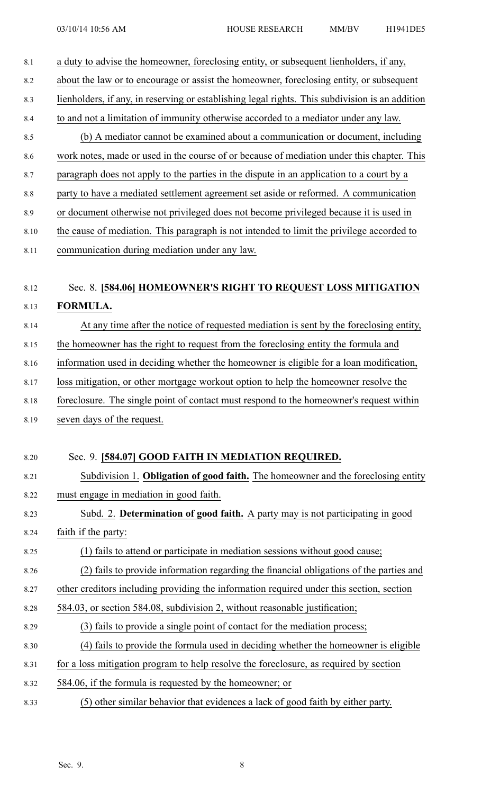| 8.1     | a duty to advise the homeowner, foreclosing entity, or subsequent lienholders, if any,          |
|---------|-------------------------------------------------------------------------------------------------|
| 8.2     | about the law or to encourage or assist the homeowner, foreclosing entity, or subsequent        |
| 8.3     | lienholders, if any, in reserving or establishing legal rights. This subdivision is an addition |
| 8.4     | to and not a limitation of immunity otherwise accorded to a mediator under any law.             |
| 8.5     | (b) A mediator cannot be examined about a communication or document, including                  |
| 8.6     | work notes, made or used in the course of or because of mediation under this chapter. This      |
| 8.7     | paragraph does not apply to the parties in the dispute in an application to a court by a        |
| $8.8\,$ | party to have a mediated settlement agreement set aside or reformed. A communication            |
| 8.9     | or document otherwise not privileged does not become privileged because it is used in           |
| 8.10    | the cause of mediation. This paragraph is not intended to limit the privilege accorded to       |
| 8.11    | communication during mediation under any law.                                                   |
|         |                                                                                                 |
| 8.12    | Sec. 8. [584.06] HOMEOWNER'S RIGHT TO REQUEST LOSS MITIGATION                                   |
| 8.13    | FORMULA.                                                                                        |
| 8.14    | At any time after the notice of requested mediation is sent by the foreclosing entity,          |
| 8.15    | the homeowner has the right to request from the foreclosing entity the formula and              |
| 8.16    | information used in deciding whether the homeowner is eligible for a loan modification,         |
| 8.17    | loss mitigation, or other mortgage workout option to help the homeowner resolve the             |
| 8.18    | foreclosure. The single point of contact must respond to the homeowner's request within         |
| 8.19    | seven days of the request.                                                                      |
|         |                                                                                                 |
| 8.20    | Sec. 9. [584.07] GOOD FAITH IN MEDIATION REQUIRED.                                              |
| 8.21    | Subdivision 1. Obligation of good faith. The homeowner and the foreclosing entity               |
| 8.22    | must engage in mediation in good faith.                                                         |
| 8.23    | Subd. 2. Determination of good faith. A party may is not participating in good                  |
| 8.24    | faith if the party:                                                                             |
| 8.25    | (1) fails to attend or participate in mediation sessions without good cause;                    |
| 8.26    | (2) fails to provide information regarding the financial obligations of the parties and         |
| 8.27    | other creditors including providing the information required under this section, section        |
| 8.28    | 584.03, or section 584.08, subdivision 2, without reasonable justification;                     |
| 8.29    | (3) fails to provide a single point of contact for the mediation process;                       |
| 8.30    | (4) fails to provide the formula used in deciding whether the homeowner is eligible             |
| 8.31    | for a loss mitigation program to help resolve the foreclosure, as required by section           |
| 8.32    | 584.06, if the formula is requested by the homeowner; or                                        |
| 8.33    | (5) other similar behavior that evidences a lack of good faith by either party.                 |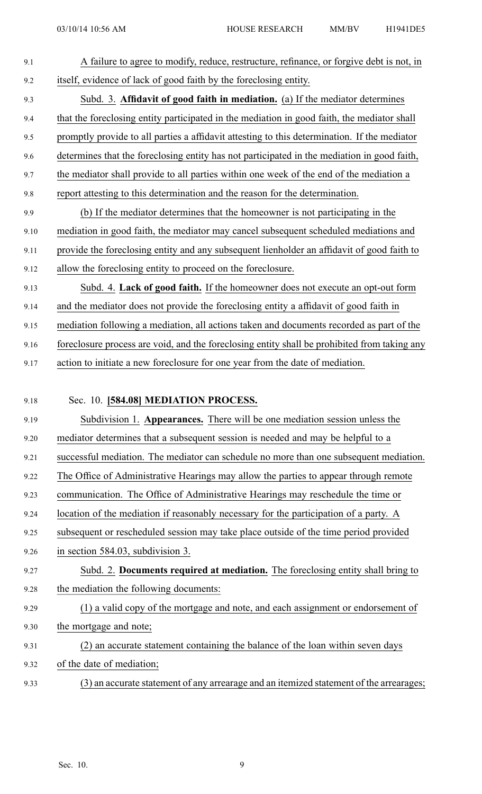9.1 A failure to agree to modify, reduce, restructure, refinance, or forgive debt is not, in 9.2 itself, evidence of lack of good faith by the foreclosing entity. 9.3 Subd. 3. **Affidavit of good faith in mediation.** (a) If the mediator determines 9.4 that the foreclosing entity participated in the mediation in good faith, the mediator shall 9.5 promptly provide to all parties <sup>a</sup> affidavit attesting to this determination. If the mediator 9.6 determines that the foreclosing entity has not participated in the mediation in good faith, 9.7 the mediator shall provide to all parties within one week of the end of the mediation <sup>a</sup> 9.8 repor<sup>t</sup> attesting to this determination and the reason for the determination. 9.9 (b) If the mediator determines that the homeowner is not participating in the 9.10 mediation in good faith, the mediator may cancel subsequent scheduled mediations and 9.11 provide the foreclosing entity and any subsequent lienholder an affidavit of good faith to 9.12 allow the foreclosing entity to proceed on the foreclosure. 9.13 Subd. 4. **Lack of good faith.** If the homeowner does not execute an opt-out form 9.14 and the mediator does not provide the foreclosing entity <sup>a</sup> affidavit of good faith in 9.15 mediation following <sup>a</sup> mediation, all actions taken and documents recorded as par<sup>t</sup> of the 9.16 foreclosure process are void, and the foreclosing entity shall be prohibited from taking any 9.17 action to initiate <sup>a</sup> new foreclosure for one year from the date of mediation. 9.18 Sec. 10. **[584.08] MEDIATION PROCESS.** 9.19 Subdivision 1. **Appearances.** There will be one mediation session unless the 9.20 mediator determines that <sup>a</sup> subsequent session is needed and may be helpful to <sup>a</sup> 9.21 successful mediation. The mediator can schedule no more than one subsequent mediation. 9.22 The Office of Administrative Hearings may allow the parties to appear through remote 9.23 communication. The Office of Administrative Hearings may reschedule the time or 9.24 location of the mediation if reasonably necessary for the participation of <sup>a</sup> party. A 9.25 subsequent or rescheduled session may take place outside of the time period provided 9.26 in section 584.03, subdivision 3. 9.27 Subd. 2. **Documents required at mediation.** The foreclosing entity shall bring to 9.28 the mediation the following documents: 9.29 (1) <sup>a</sup> valid copy of the mortgage and note, and each assignment or endorsement of 9.30 the mortgage and note; 9.31 (2) an accurate statement containing the balance of the loan within seven days 9.32 of the date of mediation; 9.33 (3) an accurate statement of any arrearage and an itemized statement of the arrearages;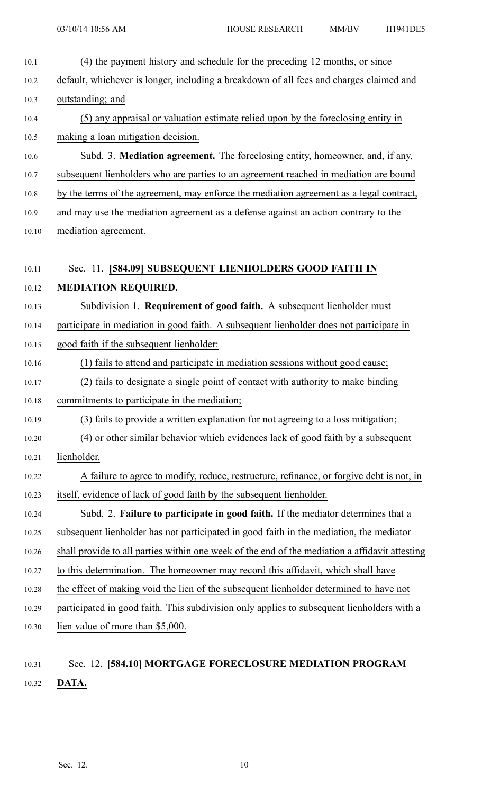| 10.1  | (4) the payment history and schedule for the preceding 12 months, or since                     |
|-------|------------------------------------------------------------------------------------------------|
| 10.2  | default, whichever is longer, including a breakdown of all fees and charges claimed and        |
| 10.3  | outstanding; and                                                                               |
| 10.4  | (5) any appraisal or valuation estimate relied upon by the foreclosing entity in               |
| 10.5  | making a loan mitigation decision.                                                             |
| 10.6  | Subd. 3. Mediation agreement. The foreclosing entity, homeowner, and, if any,                  |
| 10.7  | subsequent lienholders who are parties to an agreement reached in mediation are bound          |
| 10.8  | by the terms of the agreement, may enforce the mediation agreement as a legal contract,        |
| 10.9  | and may use the mediation agreement as a defense against an action contrary to the             |
| 10.10 | mediation agreement.                                                                           |
|       |                                                                                                |
| 10.11 | Sec. 11. [584.09] SUBSEQUENT LIENHOLDERS GOOD FAITH IN                                         |
| 10.12 | <b>MEDIATION REQUIRED.</b>                                                                     |
| 10.13 | Subdivision 1. Requirement of good faith. A subsequent lienholder must                         |
| 10.14 | participate in mediation in good faith. A subsequent lienholder does not participate in        |
| 10.15 | good faith if the subsequent lienholder:                                                       |
| 10.16 | (1) fails to attend and participate in mediation sessions without good cause;                  |
| 10.17 | (2) fails to designate a single point of contact with authority to make binding                |
| 10.18 | commitments to participate in the mediation;                                                   |
| 10.19 | (3) fails to provide a written explanation for not agreeing to a loss mitigation;              |
| 10.20 | (4) or other similar behavior which evidences lack of good faith by a subsequent               |
| 10.21 | lienholder.                                                                                    |
| 10.22 | A failure to agree to modify, reduce, restructure, refinance, or forgive debt is not, in       |
| 10.23 | itself, evidence of lack of good faith by the subsequent lienholder.                           |
| 10.24 | Subd. 2. Failure to participate in good faith. If the mediator determines that a               |
| 10.25 | subsequent lienholder has not participated in good faith in the mediation, the mediator        |
| 10.26 | shall provide to all parties within one week of the end of the mediation a affidavit attesting |
| 10.27 | to this determination. The homeowner may record this affidavit, which shall have               |
| 10.28 | the effect of making void the lien of the subsequent lienholder determined to have not         |
| 10.29 | participated in good faith. This subdivision only applies to subsequent lienholders with a     |
| 10.30 | lien value of more than \$5,000.                                                               |
|       |                                                                                                |

## 10.31 Sec. 12. **[584.10] MORTGAGE FORECLOSURE MEDIATION PROGRAM** 10.32 **DATA.**